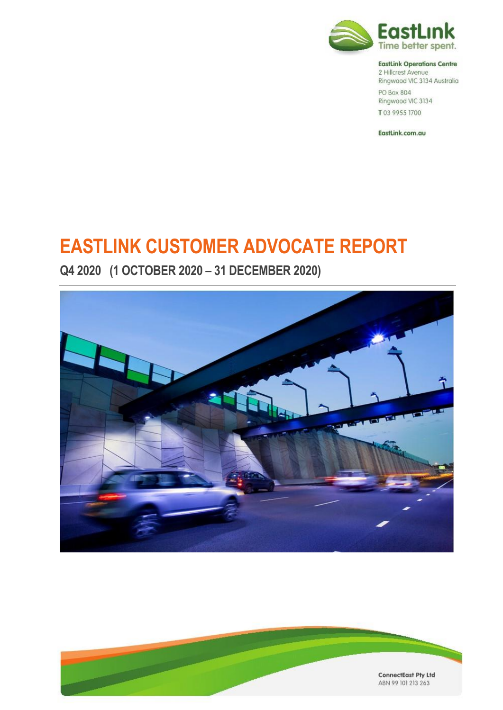

#### **EastLink Operations Centre**

2 Hillcrest Avenue Ringwood VIC 3134 Australia PO Box 804 Ringwood VIC 3134 T03 9955 1700

EastLink.com.au

# **EASTLINK CUSTOMER ADVOCATE REPORT**

**Q4 2020 (1 OCTOBER 2020 – 31 DECEMBER 2020)**



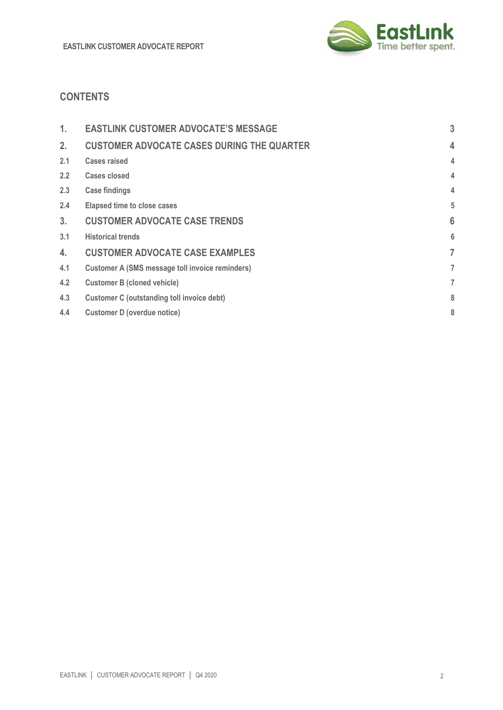

# **CONTENTS**

| 1.             | <b>EASTLINK CUSTOMER ADVOCATE'S MESSAGE</b>            | 3 |
|----------------|--------------------------------------------------------|---|
| 2.             | <b>CUSTOMER ADVOCATE CASES DURING THE QUARTER</b>      | 4 |
| 2.1            | <b>Cases raised</b>                                    | 4 |
| 2.2            | Cases closed                                           | 4 |
| 2.3            | <b>Case findings</b>                                   | 4 |
| 2.4            | <b>Elapsed time to close cases</b>                     | 5 |
| 3 <sub>1</sub> | <b>CUSTOMER ADVOCATE CASE TRENDS</b>                   | 6 |
| 3.1            | <b>Historical trends</b>                               | 6 |
| 4.             | <b>CUSTOMER ADVOCATE CASE EXAMPLES</b>                 | 7 |
| 4.1            | <b>Customer A (SMS message toll invoice reminders)</b> | 7 |
| 4.2            | <b>Customer B (cloned vehicle)</b>                     | 7 |
| 4.3            | <b>Customer C (outstanding toll invoice debt)</b>      | 8 |
| 4.4            | Customer D (overdue notice)                            | 8 |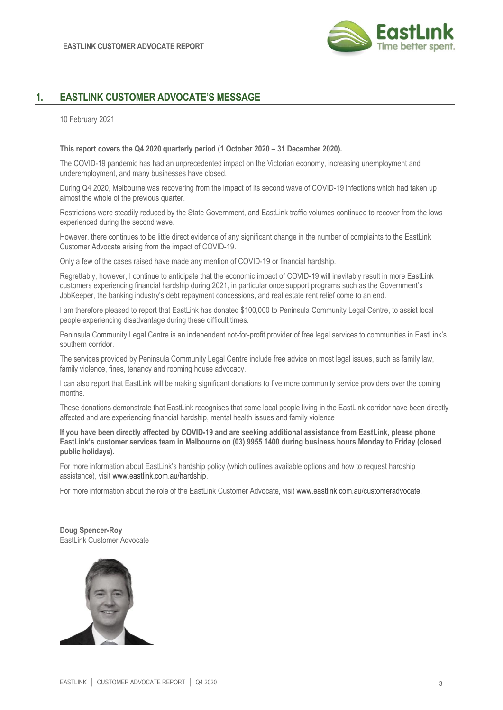

# **1. EASTLINK CUSTOMER ADVOCATE'S MESSAGE**

10 February 2021

#### **This report covers the Q4 2020 quarterly period (1 October 2020 – 31 December 2020).**

The COVID-19 pandemic has had an unprecedented impact on the Victorian economy, increasing unemployment and underemployment, and many businesses have closed.

During Q4 2020, Melbourne was recovering from the impact of its second wave of COVID-19 infections which had taken up almost the whole of the previous quarter.

Restrictions were steadily reduced by the State Government, and EastLink traffic volumes continued to recover from the lows experienced during the second wave.

However, there continues to be little direct evidence of any significant change in the number of complaints to the EastLink Customer Advocate arising from the impact of COVID-19.

Only a few of the cases raised have made any mention of COVID-19 or financial hardship.

Regrettably, however, I continue to anticipate that the economic impact of COVID-19 will inevitably result in more EastLink customers experiencing financial hardship during 2021, in particular once support programs such as the Government's JobKeeper, the banking industry's debt repayment concessions, and real estate rent relief come to an end.

I am therefore pleased to report that EastLink has donated \$100,000 to Peninsula Community Legal Centre, to assist local people experiencing disadvantage during these difficult times.

Peninsula Community Legal Centre is an independent not-for-profit provider of free legal services to communities in EastLink's southern corridor.

The services provided by Peninsula Community Legal Centre include free advice on most legal issues, such as family law, family violence, fines, tenancy and rooming house advocacy.

I can also report that EastLink will be making significant donations to five more community service providers over the coming months.

These donations demonstrate that EastLink recognises that some local people living in the EastLink corridor have been directly affected and are experiencing financial hardship, mental health issues and family violence

**If you have been directly affected by COVID-19 and are seeking additional assistance from EastLink, please phone EastLink's customer services team in Melbourne on (03) 9955 1400 during business hours Monday to Friday (closed public holidays).**

For more information about EastLink's hardship policy (which outlines available options and how to request hardship assistance), visit [www.eastlink.com.au/hardship.](http://www.eastlink.com.au/hardship)

For more information about the role of the EastLink Customer Advocate, visit [www.eastlink.com.au/customeradvocate.](http://www.eastlink.com.au/customeradvocate) 

**Doug Spencer-Roy** EastLink Customer Advocate

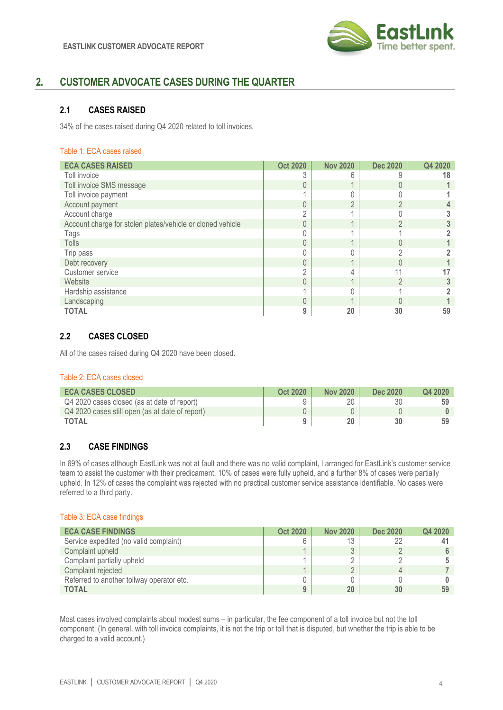

# **2. CUSTOMER ADVOCATE CASES DURING THE QUARTER**

## **2.1 CASES RAISED**

34% of the cases raised during Q4 2020 related to toll invoices.

#### Table 1: ECA cases raised

| <b>ECA CASES RAISED</b>                                    | <b>Oct 2020</b> | <b>Nov 2020</b> | <b>Dec 2020</b> | Q4 2020 |
|------------------------------------------------------------|-----------------|-----------------|-----------------|---------|
| Toll invoice                                               |                 | h               | 9               | 18      |
| Toll invoice SMS message                                   | $\Omega$        |                 | $\Omega$        |         |
| Toll invoice payment                                       |                 |                 |                 |         |
| Account payment                                            | $\Omega$        | $\cap$          | $\Omega$        |         |
| Account charge                                             | C               |                 |                 |         |
| Account charge for stolen plates/vehicle or cloned vehicle | $\Omega$        |                 | $\Omega$        |         |
| Tags                                                       |                 |                 |                 |         |
| <b>Tolls</b>                                               | $\overline{0}$  |                 | $\Omega$        |         |
| Trip pass                                                  |                 |                 | $\cap$          |         |
| Debt recovery                                              | $\Omega$        |                 | $\Omega$        |         |
| Customer service                                           | C               |                 | 11              |         |
| Website                                                    | $\Omega$        |                 | $\Omega$        |         |
| Hardship assistance                                        |                 |                 |                 |         |
| Landscaping                                                |                 |                 |                 |         |
| <b>TOTAL</b>                                               | 9               | 20              | 30              | 59      |

## **2.2 CASES CLOSED**

All of the cases raised during Q4 2020 have been closed.

#### Table 2: ECA cases closed

| <b>ECA CASES CLOSED</b>                         | <b>Oct 2020</b> | <b>Nov 2020</b> | Dec 2020 | Q4 2020 |
|-------------------------------------------------|-----------------|-----------------|----------|---------|
| Q4 2020 cases closed (as at date of report)     |                 |                 | 30       | 59      |
| Q4 2020 cases still open (as at date of report) |                 |                 |          |         |
| <b>TOTAL</b>                                    |                 |                 | 30       |         |

## **2.3 CASE FINDINGS**

In 69% of cases although EastLink was not at fault and there was no valid complaint, I arranged for EastLink's customer service team to assist the customer with their predicament. 10% of cases were fully upheld, and a further 8% of cases were partially upheld. In 12% of cases the complaint was rejected with no practical customer service assistance identifiable. No cases were referred to a third party.

#### Table 3: ECA case findings

| <b>ECA CASE FINDINGS</b>                  | <b>Oct 2020</b> | <b>Nov 2020</b> | <b>Dec 2020</b> | Q4 2020 |
|-------------------------------------------|-----------------|-----------------|-----------------|---------|
| Service expedited (no valid complaint)    |                 | J               | 22              |         |
| Complaint upheld                          |                 |                 |                 |         |
| Complaint partially upheld                |                 |                 |                 |         |
| Complaint rejected                        |                 |                 |                 |         |
| Referred to another tollway operator etc. |                 |                 |                 |         |
| <b>TOTAL</b>                              |                 | 20              | 30              | 59      |

Most cases involved complaints about modest sums – in particular, the fee component of a toll invoice but not the toll component. (In general, with toll invoice complaints, it is not the trip or toll that is disputed, but whether the trip is able to be charged to a valid account.)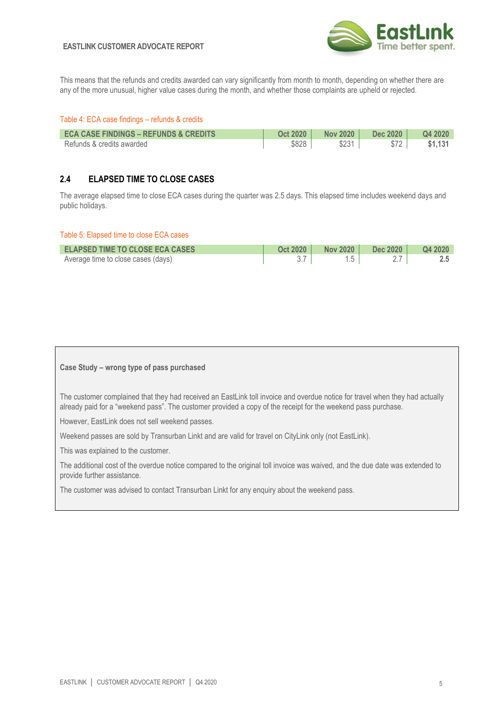#### **EASTLINK CUSTOMER ADVOCATE REPORT**



This means that the refunds and credits awarded can vary significantly from month to month, depending on whether there are any of the more unusual, higher value cases during the month, and whether those complaints are upheld or rejected.

#### Table 4: ECA case findings – refunds & credits

| <b>ECA CASE FINDINGS - REFUNDS &amp; CREDITS</b> | <b>Oct 2020</b> | <b>Nov 2020</b> | Dec 2020 | Q4 2020 |
|--------------------------------------------------|-----------------|-----------------|----------|---------|
| Refunds & credits awarded                        | \$828           | \$231           | $$72$    | \$1.131 |

## **2.4 ELAPSED TIME TO CLOSE CASES**

The average elapsed time to close ECA cases during the quarter was 2.5 days. This elapsed time includes weekend days and public holidays.

#### Table 5: Elapsed time to close ECA cases

| <b>ELAPSED TIME TO CLOSE ECA CASES</b> | <b>Oct 2020</b> | <b>Nov 2020</b> | <b>Dec 2020</b> | Q4 2020 |
|----------------------------------------|-----------------|-----------------|-----------------|---------|
| Average time to close cases (days)     |                 |                 |                 |         |

#### **Case Study – wrong type of pass purchased**

The customer complained that they had received an EastLink toll invoice and overdue notice for travel when they had actually already paid for a "weekend pass". The customer provided a copy of the receipt for the weekend pass purchase.

However, EastLink does not sell weekend passes.

Weekend passes are sold by Transurban Linkt and are valid for travel on CityLink only (not EastLink).

This was explained to the customer.

The additional cost of the overdue notice compared to the original toll invoice was waived, and the due date was extended to provide further assistance.

The customer was advised to contact Transurban Linkt for any enquiry about the weekend pass.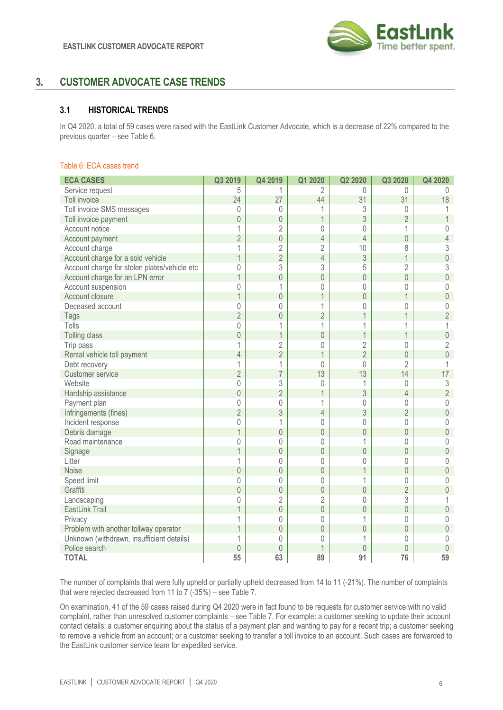

# **3. CUSTOMER ADVOCATE CASE TRENDS**

### **3.1 HISTORICAL TRENDS**

In Q4 2020, a total of 59 cases were raised with the EastLink Customer Advocate, which is a decrease of 22% compared to the previous quarter – see Table 6.

#### Table 6: ECA cases trend

| <b>ECA CASES</b>                             | Q3 2019        | Q4 2019        | Q1 2020        | Q2 2020        | Q3 2020        | Q4 2020                 |
|----------------------------------------------|----------------|----------------|----------------|----------------|----------------|-------------------------|
| Service request                              | 5              | 1              | 2              | 0              | $\Omega$       | $\Omega$                |
| Toll invoice                                 | 24             | 27             | 44             | 31             | 31             | 18                      |
| Toll invoice SMS messages                    | $\mathbf{0}$   | 0              |                | 3              | 0              | 1                       |
| Toll invoice payment                         | $\overline{0}$ | $\overline{0}$ | $\mathbf 1$    | 3              | $\overline{2}$ | $\overline{1}$          |
| Account notice                               | 1              | $\overline{2}$ | 0              | $\mathbf{0}$   | 1              | 0                       |
| Account payment                              | $\overline{2}$ | $\mathbf 0$    | 4              | $\overline{4}$ | 0              | $\overline{4}$          |
| Account charge                               | 1              | $\overline{2}$ | $\overline{2}$ | 10             | 8              | 3                       |
| Account charge for a sold vehicle            | $\overline{1}$ | $\overline{2}$ | $\overline{4}$ | 3              | 1              | $\mathbf 0$             |
| Account charge for stolen plates/vehicle etc | 0              | 3              | 3              | 5              | $\overline{2}$ | $\sqrt{3}$              |
| Account charge for an LPN error              | $\overline{1}$ | $\overline{0}$ | $\mathbf 0$    | $\theta$       | $\overline{0}$ | $\mathbf 0$             |
| Account suspension                           | 0              | 1              | 0              | 0              | 0              | 0                       |
| Account closure                              | $\overline{1}$ | $\mathbf 0$    | $\mathbf 1$    | $\overline{0}$ | $\overline{1}$ | $\overline{0}$          |
| Deceased account                             | $\mathbf 0$    | 0              | 1              | 0              | 0              | $\mathbf 0$             |
| Tags                                         | $\overline{2}$ | $\overline{0}$ | $\overline{2}$ |                | 1              | $\overline{2}$          |
| Tolls                                        | $\mathbf 0$    | 1              | 1              | 1              | 1              | $\overline{1}$          |
| Tolling class                                | $\mathbf 0$    | $\overline{1}$ | $\mathbf 0$    | 1              | 1              | $\overline{0}$          |
| Trip pass                                    | 1              | $\overline{2}$ | 0              | $\overline{2}$ | $\mathbf 0$    | $\overline{2}$          |
| Rental vehicle toll payment                  | $\overline{4}$ | $\overline{2}$ | $\mathbf 1$    | $\overline{2}$ | $\overline{0}$ | $\mathbf 0$             |
| Debt recovery                                | 1              | 1              | 0              | 0              | $\overline{2}$ | $\overline{\mathbf{1}}$ |
| <b>Customer service</b>                      | $\overline{2}$ | $\overline{7}$ | 13             | 13             | 14             | 17                      |
| Website                                      | $\mathbf 0$    | 3              | 0              | 1              | $\theta$       | $\sqrt{3}$              |
| Hardship assistance                          | $\mathbf 0$    | $\overline{2}$ | $\overline{1}$ | 3              | $\overline{4}$ | $\overline{2}$          |
| Payment plan                                 | $\mathbf 0$    | 0              | 1              | 0              | 0              | $\mathbf 0$             |
| Infringements (fines)                        | $\overline{2}$ | 3              | $\overline{4}$ | 3              | $\overline{2}$ | $\mathbf 0$             |
| Incident response                            | $\mathbf 0$    | 1              | 0              | 0              | 0              | $\mathbf 0$             |
| Debris damage                                | $\mathbf 1$    | $\mathbf 0$    | $\mathbf 0$    | $\mathbf 0$    | $\mathbf 0$    | $\sqrt{a}$              |
| Road maintenance                             | 0              | 0              | 0              | 1              | $\theta$       | 0                       |
| Signage                                      | $\mathbf 1$    | $\mathbf 0$    | $\mathbf 0$    | $\mathbf 0$    | $\overline{0}$ | $\overline{0}$          |
| Litter                                       | 1              | 0              | 0              | 0              | 0              | $\mathbf 0$             |
| <b>Noise</b>                                 | $\mathbf 0$    | $\overline{0}$ | $\mathbf 0$    | $\overline{1}$ | $\theta$       | $\mathbf 0$             |
| Speed limit                                  | 0              | 0              | 0              | 1              | 0              | $\mathbf 0$             |
| Graffiti                                     | $\mathbf 0$    | $\mathbf 0$    | $\mathbf 0$    | $\mathbf 0$    | $\overline{2}$ | $\overline{0}$          |
| Landscaping                                  | 0              | $\overline{2}$ | $\overline{2}$ | 0              | 3              | 1                       |
| EastLink Trail                               | $\overline{1}$ | $\overline{0}$ | $\overline{0}$ | $\overline{0}$ | $\overline{0}$ | $\overline{0}$          |
| Privacy                                      | 1              | 0              | 0              | 1              | 0              | $\theta$                |
| Problem with another tollway operator        | 1              | $\mathbf 0$    | $\overline{0}$ | $\overline{0}$ | $\theta$       | $\mathbf 0$             |
| Unknown (withdrawn, insufficient details)    | 1              | 0              | 0              | 1              | 0              | 0                       |
| Police search                                | $\overline{0}$ | $\overline{0}$ | 1              | $\theta$       | $\overline{0}$ | $\theta$                |
| <b>TOTAL</b>                                 | 55             | 63             | 89             | 91             | 76             | 59                      |

The number of complaints that were fully upheld or partially upheld decreased from 14 to 11 (-21%). The number of complaints that were rejected decreased from 11 to 7 (-35%) – see Table 7.

On examination, 41 of the 59 cases raised during Q4 2020 were in fact found to be requests for customer service with no valid complaint, rather than unresolved customer complaints – see Table 7. For example: a customer seeking to update their account contact details; a customer enquiring about the status of a payment plan and wanting to pay for a recent trip; a customer seeking to remove a vehicle from an account; or a customer seeking to transfer a toll invoice to an account. Such cases are forwarded to the EastLink customer service team for expedited service.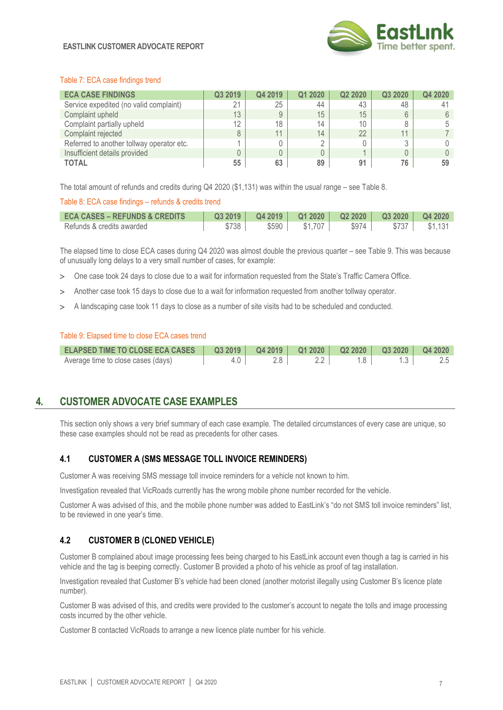

#### Table 7: ECA case findings trend

| <b>ECA CASE FINDINGS</b>                  | Q3 2019 | Q4 2019 | Q1 2020 | Q2 2020         | Q3 2020 | Q4 2020 |
|-------------------------------------------|---------|---------|---------|-----------------|---------|---------|
| Service expedited (no valid complaint)    | 21      | 25      | 44      | 43              | 48      |         |
| Complaint upheld                          | 13      | 9       | 15      | 15              |         |         |
| Complaint partially upheld                | 12      | 18      | 14      | 10 <sup>°</sup> | 8       |         |
| Complaint rejected                        | 8       | 11      | 14      | 22              | 11      |         |
| Referred to another tollway operator etc. |         |         | $\cap$  |                 |         |         |
| Insufficient details provided             |         | 0       | 0       |                 |         |         |
| <b>TOTAL</b>                              | 55      | 63      | 89      | 91              | 76      | 59      |

The total amount of refunds and credits during Q4 2020 (\$1,131) was within the usual range – see Table 8.

#### Table 8: ECA case findings – refunds & credits trend

| <b>ECA CASES – REFUNDS &amp; CREDITS</b> | Q32019 |                  | Q4 2019   Q1 2020   Q2 2020   Q3 2020   Q4 2020 |       |         |
|------------------------------------------|--------|------------------|-------------------------------------------------|-------|---------|
| Refunds & credits awarded                | \$738  | $$590$   \$1,707 | $$974$                                          | \$737 | \$1.131 |

The elapsed time to close ECA cases during Q4 2020 was almost double the previous quarter – see Table 9. This was because of unusually long delays to a very small number of cases, for example:

- One case took 24 days to close due to a wait for information requested from the State's Traffic Camera Office.
- Another case took 15 days to close due to a wait for information requested from another tollway operator.
- A landscaping case took 11 days to close as a number of site visits had to be scheduled and conducted.

#### Table 9: Elapsed time to close ECA cases trend

| ELAPSED TIME TO CLOSE ECA CASES   Q3 2019   Q4 2019   Q1 2020   Q2 2020   Q3 2020   Q4 2020 |                 |       |  |  |
|---------------------------------------------------------------------------------------------|-----------------|-------|--|--|
| Average time to close cases (days)                                                          | $4.0 \parallel$ | $2.8$ |  |  |

# **4. CUSTOMER ADVOCATE CASE EXAMPLES**

This section only shows a very brief summary of each case example. The detailed circumstances of every case are unique, so these case examples should not be read as precedents for other cases.

## **4.1 CUSTOMER A (SMS MESSAGE TOLL INVOICE REMINDERS)**

Customer A was receiving SMS message toll invoice reminders for a vehicle not known to him.

Investigation revealed that VicRoads currently has the wrong mobile phone number recorded for the vehicle.

Customer A was advised of this, and the mobile phone number was added to EastLink's "do not SMS toll invoice reminders" list, to be reviewed in one year's time.

#### **4.2 CUSTOMER B (CLONED VEHICLE)**

Customer B complained about image processing fees being charged to his EastLink account even though a tag is carried in his vehicle and the tag is beeping correctly. Customer B provided a photo of his vehicle as proof of tag installation.

Investigation revealed that Customer B's vehicle had been cloned (another motorist illegally using Customer B's licence plate number).

Customer B was advised of this, and credits were provided to the customer's account to negate the tolls and image processing costs incurred by the other vehicle.

Customer B contacted VicRoads to arrange a new licence plate number for his vehicle.